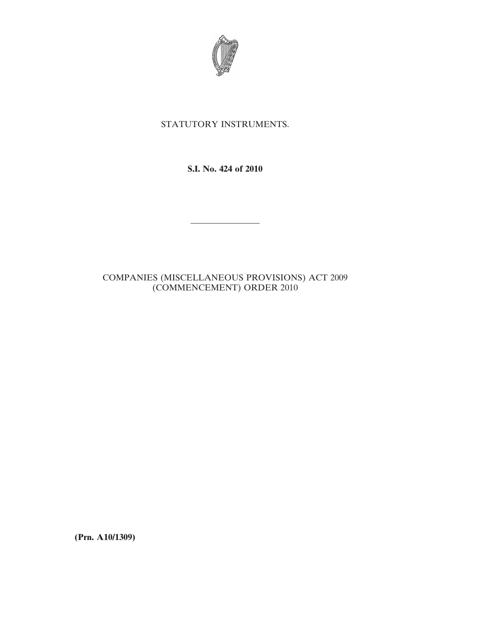

## STATUTORY INSTRUMENTS.

**S.I. No. 424 of 2010**

————————

## COMPANIES (MISCELLANEOUS PROVISIONS) ACT 2009 (COMMENCEMENT) ORDER 2010

**(Prn. A10/1309)**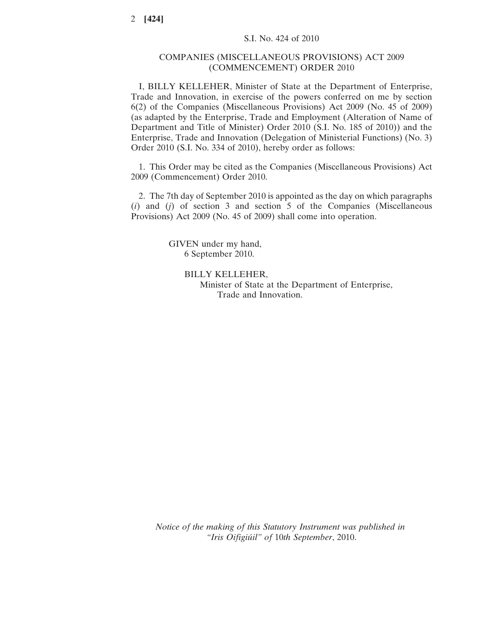## COMPANIES (MISCELLANEOUS PROVISIONS) ACT 2009 (COMMENCEMENT) ORDER 2010

I, BILLY KELLEHER, Minister of State at the Department of Enterprise, Trade and Innovation, in exercise of the powers conferred on me by section 6(2) of the Companies (Miscellaneous Provisions) Act 2009 (No. 45 of 2009) (as adapted by the Enterprise, Trade and Employment (Alteration of Name of Department and Title of Minister) Order 2010 (S.I. No. 185 of 2010)) and the Enterprise, Trade and Innovation (Delegation of Ministerial Functions) (No. 3) Order 2010 (S.I. No. 334 of 2010), hereby order as follows:

1. This Order may be cited as the Companies (Miscellaneous Provisions) Act 2009 (Commencement) Order 2010.

2. The 7th day of September 2010 is appointed as the day on which paragraphs (*i*) and (*j*) of section 3 and section 5 of the Companies (Miscellaneous Provisions) Act 2009 (No. 45 of 2009) shall come into operation.

> GIVEN under my hand, 6 September 2010.

> > BILLY KELLEHER, Minister of State at the Department of Enterprise, Trade and Innovation.

*Notice of the making of this Statutory Instrument was published in "Iris Oifigiúil" of* 10*th September*, 2010.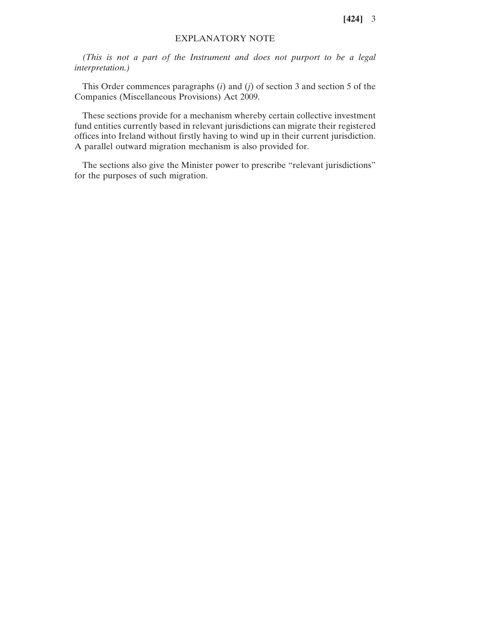**[424]** 3

## EXPLANATORY NOTE

*(This is not a part of the Instrument and does not purport to be a legal interpretation.)*

This Order commences paragraphs (*i*) and (*j*) of section 3 and section 5 of the Companies (Miscellaneous Provisions) Act 2009.

These sections provide for a mechanism whereby certain collective investment fund entities currently based in relevant jurisdictions can migrate their registered offices into Ireland without firstly having to wind up in their current jurisdiction. A parallel outward migration mechanism is also provided for.

The sections also give the Minister power to prescribe "relevant jurisdictions" for the purposes of such migration.